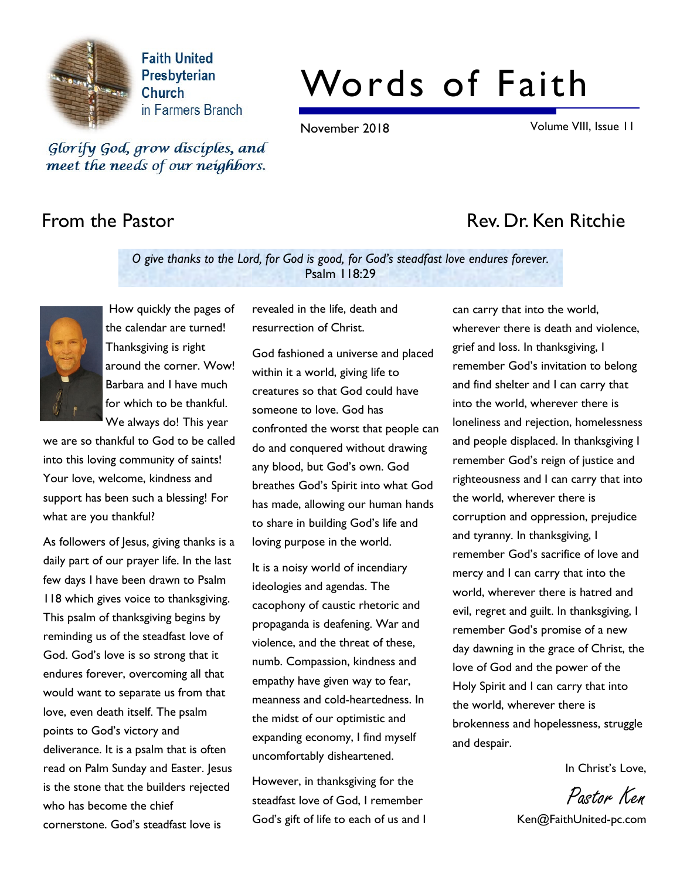

**Faith United** Presbyterian **Church** in Farmers Branch

# Words of Faith

November 2018 Volume VIII, Issue 11

Glorify God, grow disciples, and meet the needs of our neighbors.

# From the Pastor **Rev. Dr. Ken Ritchie**

O give thanks to the Lord, for God is good, for God's steadfast love endures forever. Psalm 118:29



 How quickly the pages of the calendar are turned! Thanksgiving is right around the corner. Wow! Barbara and I have much for which to be thankful. We always do! This year

we are so thankful to God to be called into this loving community of saints! Your love, welcome, kindness and support has been such a blessing! For what are you thankful?

As followers of Jesus, giving thanks is a daily part of our prayer life. In the last few days I have been drawn to Psalm 118 which gives voice to thanksgiving. This psalm of thanksgiving begins by reminding us of the steadfast love of God. God's love is so strong that it endures forever, overcoming all that would want to separate us from that love, even death itself. The psalm points to God's victory and deliverance. It is a psalm that is often read on Palm Sunday and Easter. Jesus is the stone that the builders rejected who has become the chief cornerstone. God's steadfast love is

revealed in the life, death and resurrection of Christ.

God fashioned a universe and placed within it a world, giving life to creatures so that God could have someone to love. God has confronted the worst that people can do and conquered without drawing any blood, but God's own. God breathes God's Spirit into what God has made, allowing our human hands to share in building God's life and loving purpose in the world.

It is a noisy world of incendiary ideologies and agendas. The cacophony of caustic rhetoric and propaganda is deafening. War and violence, and the threat of these, numb. Compassion, kindness and empathy have given way to fear, meanness and cold-heartedness. In the midst of our optimistic and expanding economy, I find myself uncomfortably disheartened.

However, in thanksgiving for the steadfast love of God, I remember God's gift of life to each of us and I

can carry that into the world, wherever there is death and violence, grief and loss. In thanksgiving, I remember God's invitation to belong and find shelter and I can carry that into the world, wherever there is loneliness and rejection, homelessness and people displaced. In thanksgiving I remember God's reign of justice and righteousness and I can carry that into the world, wherever there is corruption and oppression, prejudice and tyranny. In thanksgiving, I remember God's sacrifice of love and mercy and I can carry that into the world, wherever there is hatred and evil, regret and guilt. In thanksgiving, I remember God's promise of a new day dawning in the grace of Christ, the love of God and the power of the Holy Spirit and I can carry that into the world, wherever there is brokenness and hopelessness, struggle and despair.

In Christ's Love,

Pastor Ken

Ken@FaithUnited-pc.com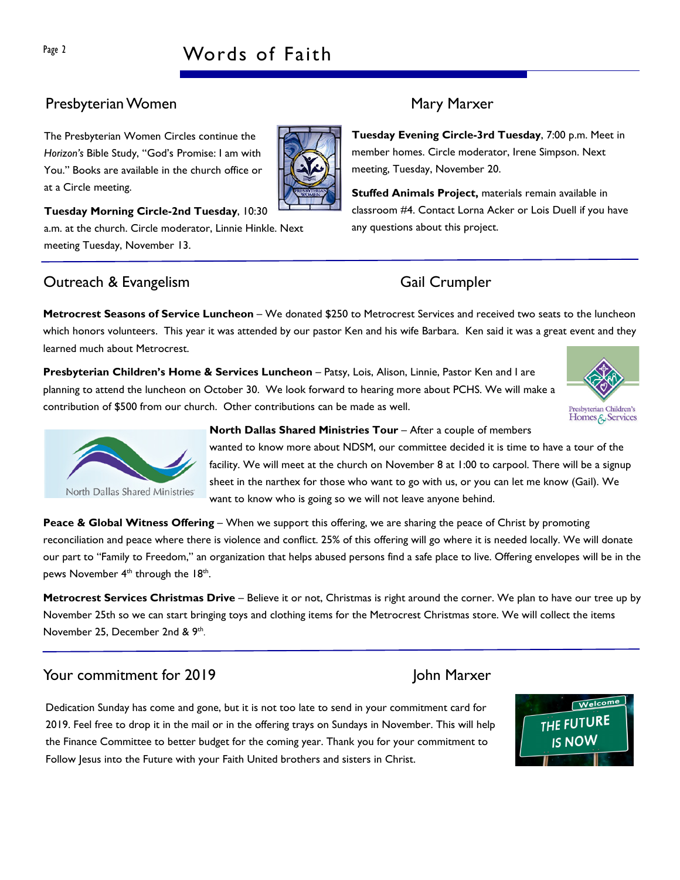# Page 2 Words of Faith

# Presbyterian Women Mary Marxer

The Presbyterian Women Circles continue the Horizon's Bible Study, "God's Promise: I am with You." Books are available in the church office or at a Circle meeting.



### Tuesday Morning Circle-2nd Tuesday, 10:30

a.m. at the church. Circle moderator, Linnie Hinkle. Next meeting Tuesday, November 13.

# Outreach & Evangelism Gail Crumpler

Tuesday Evening Circle-3rd Tuesday, 7:00 p.m. Meet in member homes. Circle moderator, Irene Simpson. Next meeting, Tuesday, November 20.

Stuffed Animals Project, materials remain available in classroom #4. Contact Lorna Acker or Lois Duell if you have any questions about this project.

Metrocrest Seasons of Service Luncheon – We donated \$250 to Metrocrest Services and received two seats to the luncheon which honors volunteers. This year it was attended by our pastor Ken and his wife Barbara. Ken said it was a great event and they learned much about Metrocrest.

Presbyterian Children's Home & Services Luncheon - Patsy, Lois, Alison, Linnie, Pastor Ken and I are planning to attend the luncheon on October 30. We look forward to hearing more about PCHS. We will make a contribution of \$500 from our church. Other contributions can be made as well.





### North Dallas Shared Ministries Tour – After a couple of members

wanted to know more about NDSM, our committee decided it is time to have a tour of the facility. We will meet at the church on November 8 at 1:00 to carpool. There will be a signup sheet in the narthex for those who want to go with us, or you can let me know (Gail). We want to know who is going so we will not leave anyone behind.

Peace & Global Witness Offering – When we support this offering, we are sharing the peace of Christ by promoting reconciliation and peace where there is violence and conflict. 25% of this offering will go where it is needed locally. We will donate our part to "Family to Freedom," an organization that helps abused persons find a safe place to live. Offering envelopes will be in the pews November  $4<sup>th</sup>$  through the  $18<sup>th</sup>$ .

Metrocrest Services Christmas Drive – Believe it or not, Christmas is right around the corner. We plan to have our tree up by November 25th so we can start bringing toys and clothing items for the Metrocrest Christmas store. We will collect the items November 25, December 2nd & 9th.

# Your commitment for 2019 John Marxer

Dedication Sunday has come and gone, but it is not too late to send in your commitment card for 2019. Feel free to drop it in the mail or in the offering trays on Sundays in November. This will help the Finance Committee to better budget for the coming year. Thank you for your commitment to Follow Jesus into the Future with your Faith United brothers and sisters in Christ.



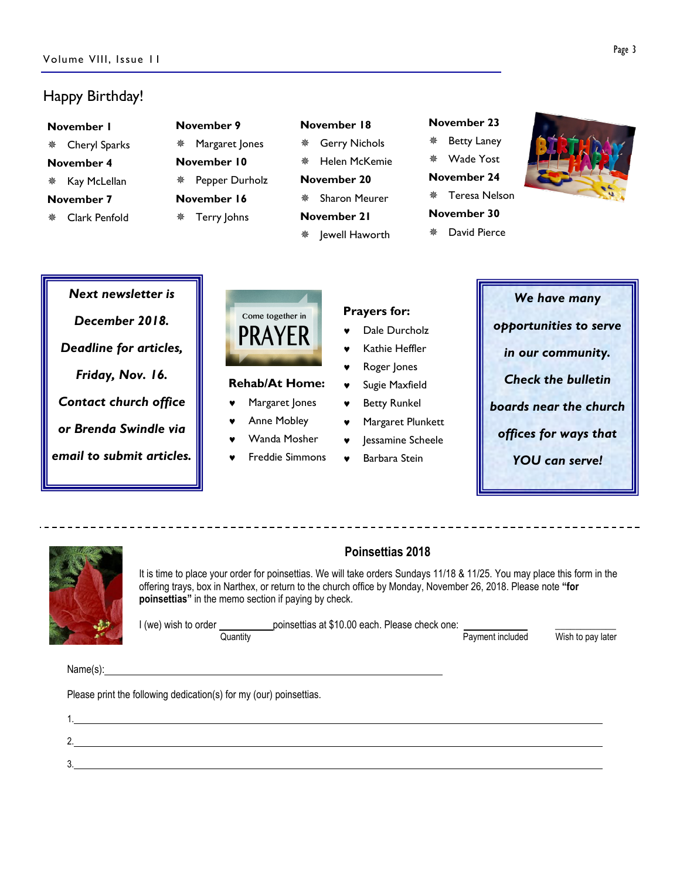# Happy Birthday!

| November 9<br>November I |                     | November 18               | November 23             |  |
|--------------------------|---------------------|---------------------------|-------------------------|--|
| Cheryl Sparks<br>楽       | Margaret Jones<br>楽 | <b>Gerry Nichols</b><br>榮 | <b>Betty Laney</b><br>槃 |  |
| November 4               | November 10         | Helen McKemie<br>鸒        | Wade Yost<br>秦          |  |
| Kay McLellan<br>楽        | Pepper Durholz<br>榮 | November 20               | November 24             |  |
| November 7               | November 16         | Sharon Meurer<br>鸒        | Teresa Nelson<br>豪      |  |
| Clark Penfold<br>盤       | Terry Johns<br>槃    | November 21               | November 30             |  |
|                          |                     | Jewell Haworth<br>楽       | David Pierce<br>翭       |  |



# Next newsletter is December 2018. Deadline for articles, Friday, Nov. 16. Contact church office or Brenda Swindle via email to submit articles.



### Rehab/At Home:

- ♥ Margaret Jones
- Anne Mobley
- Wanda Mosher
- Freddie Simmons
- Prayers for:
- Dale Durcholz
- Kathie Heffler
- Roger Jones
- ♥ Sugie Maxfield
- ♥ Betty Runkel
- Margaret Plunkett
- lessamine Scheele
- Barbara Stein





## Poinsettias 2018

It is time to place your order for poinsettias. We will take orders Sundays 11/18 & 11/25. You may place this form in the offering trays, box in Narthex, or return to the church office by Monday, November 26, 2018. Please note "for poinsettias" in the memo section if paying by check.

I (we) wish to order \_\_\_\_\_\_\_\_\_\_\_\_\_\_\_\_\_poinsettias at \$10.00 each. Please check one: \_\_\_\_\_\_\_\_\_\_\_\_\_\_\_\_\_\_\_\_\_\_\_\_\_\_<br>Payment included

Wish to pay later

Name(s):

3.

Please print the following dedication(s) for my (our) poinsettias.

1. 2.